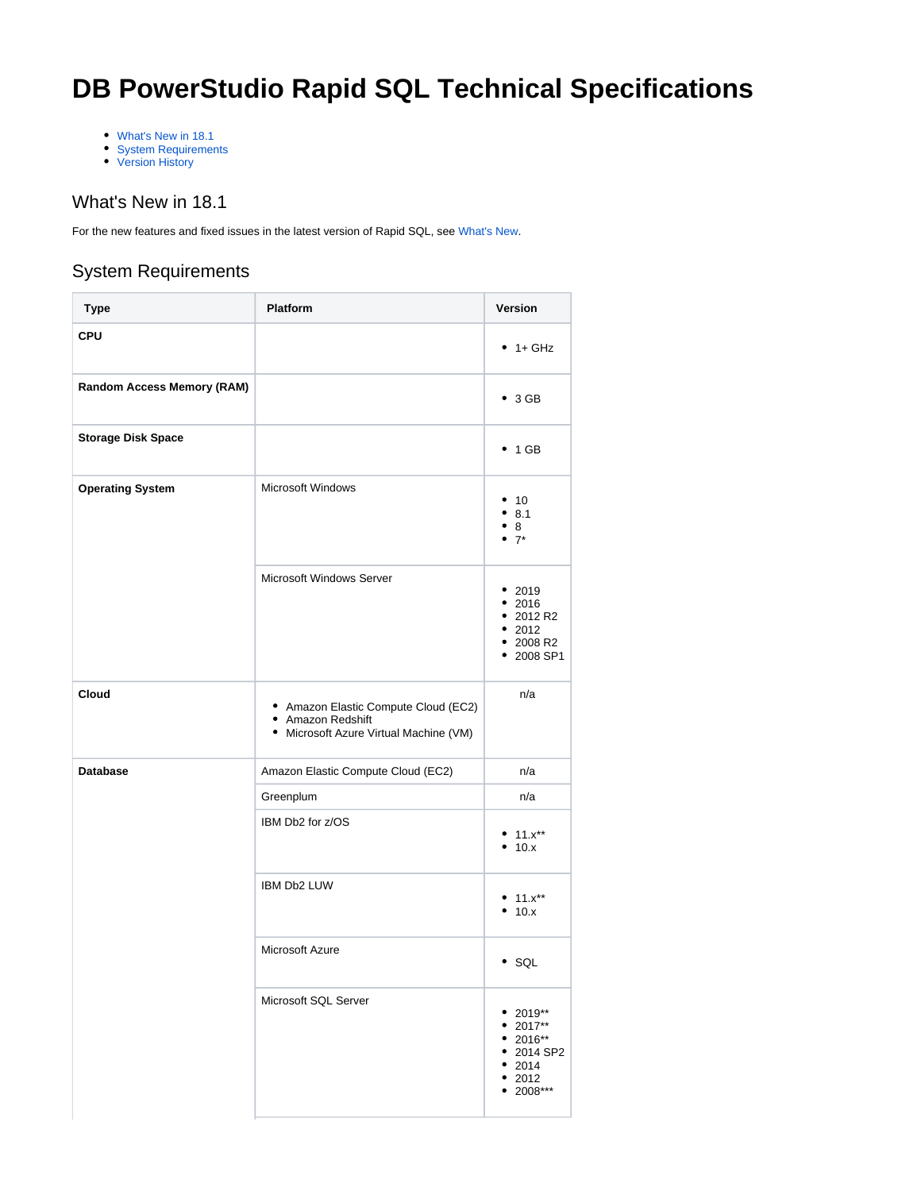# **DB PowerStudio Rapid SQL Technical Specifications**

- [What's New in 18.1](#page-0-0)
- [System Requirements](#page-0-1)
- [Version History](#page-1-0)

## <span id="page-0-0"></span>What's New in 18.1

For the new features and fixed issues in the latest version of Rapid SQL, see [What's New.](https://docwiki.embarcadero.com/RapidSQL/181/en/What%27s_New_in_18.1)

## <span id="page-0-1"></span>System Requirements

| <b>Type</b>                | <b>Platform</b>                                                                                     | Version                                                                             |
|----------------------------|-----------------------------------------------------------------------------------------------------|-------------------------------------------------------------------------------------|
| <b>CPU</b>                 |                                                                                                     | $• 1+ GHz$                                                                          |
| Random Access Memory (RAM) |                                                                                                     | $\bullet$ 3 GB                                                                      |
| <b>Storage Disk Space</b>  |                                                                                                     | $\bullet$ 1 GB                                                                      |
| <b>Operating System</b>    | Microsoft Windows                                                                                   | • 10<br>•8.1<br>•8<br>$• 7*$                                                        |
|                            | Microsoft Windows Server                                                                            | • 2019<br>• 2016<br>• 2012 R2<br>• 2012<br>• 2008 R2<br>• 2008 SP1                  |
| Cloud                      | • Amazon Elastic Compute Cloud (EC2)<br>• Amazon Redshift<br>• Microsoft Azure Virtual Machine (VM) | n/a                                                                                 |
| <b>Database</b>            | Amazon Elastic Compute Cloud (EC2)                                                                  | n/a                                                                                 |
|                            | Greenplum                                                                                           | n/a                                                                                 |
|                            | IBM Db2 for z/OS                                                                                    | • $11.x**$<br>• 10.x                                                                |
|                            | IBM Db2 LUW                                                                                         | • $11.x**$<br>• 10.x                                                                |
|                            | Microsoft Azure                                                                                     | $\cdot$ SQL                                                                         |
|                            | Microsoft SQL Server                                                                                | 2019**<br>• 2017**<br>• 2016**<br>• 2014 SP2<br>• 2014<br>2012<br>٠<br>2008***<br>٠ |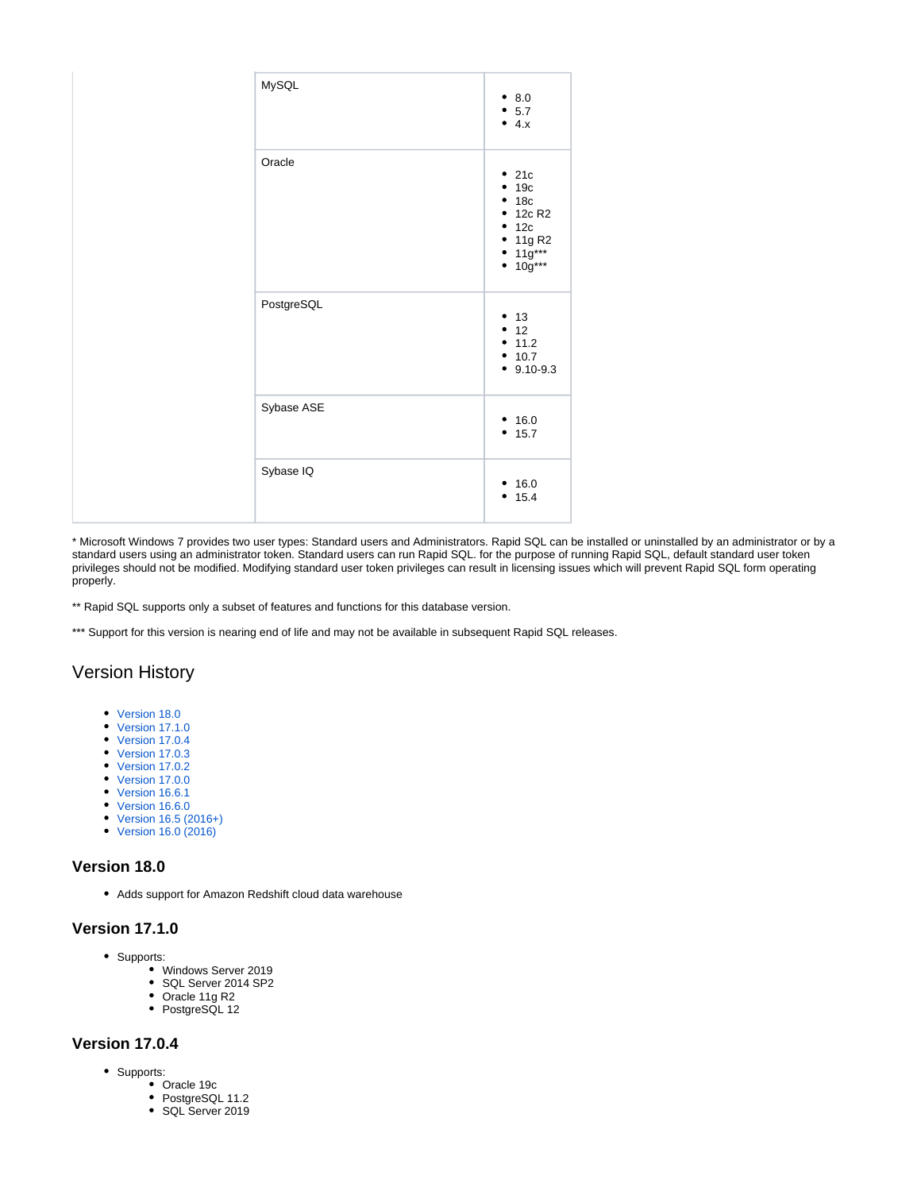| MySQL      | 8.0             |
|------------|-----------------|
|            | 5.7<br>4.x      |
| Oracle     | .21c            |
|            | $+19c$          |
|            | • 18c           |
|            | • 12c R2        |
|            | • 12c           |
|            | • 11g R2        |
|            | $11g***$        |
|            | $10g***$        |
| PostgreSQL |                 |
|            | $'$ 13          |
|            | $-12$<br>• 11.2 |
|            | • 10.7          |
|            | $9.10 - 9.3$    |
|            |                 |
| Sybase ASE | 16.0            |
|            | 15.7            |
|            |                 |
| Sybase IQ  | 16.0            |
|            | 15.4            |
|            |                 |
|            |                 |

\* Microsoft Windows 7 provides two user types: Standard users and Administrators. Rapid SQL can be installed or uninstalled by an administrator or by a standard users using an administrator token. Standard users can run Rapid SQL. for the purpose of running Rapid SQL, default standard user token privileges should not be modified. Modifying standard user token privileges can result in licensing issues which will prevent Rapid SQL form operating properly.

\*\* Rapid SQL supports only a subset of features and functions for this database version.

\*\*\* Support for this version is nearing end of life and may not be available in subsequent Rapid SQL releases.

## <span id="page-1-0"></span>Version History

- [Version 18.0](#page-1-1)
- [Version 17.1.0](#page-1-2)
- [Version 17.0.4](#page-1-3)
- [Version 17.0.3](#page-1-4) [Version 17.0.2](#page-2-0)
- [Version 17.0.0](#page-2-1)
- [Version 16.6.1](#page-2-2)
- [Version 16.6.0](#page-2-3)
- [Version 16.5 \(2016+\)](#page-2-4)
- [Version 16.0 \(2016\)](#page-2-5)

#### <span id="page-1-1"></span>**Version 18.0**

Adds support for Amazon Redshift cloud data warehouse

#### <span id="page-1-2"></span>**Version 17.1.0**

- Supports:
	- Windows Server 2019
	- SQL Server 2014 SP2
	- Oracle 11g R2
	- PostgreSQL 12

## <span id="page-1-4"></span><span id="page-1-3"></span>**Version 17.0.4**

- Supports:
	- Oracle 19c
	- PostgreSQL 11.2
	- SQL Server 2019